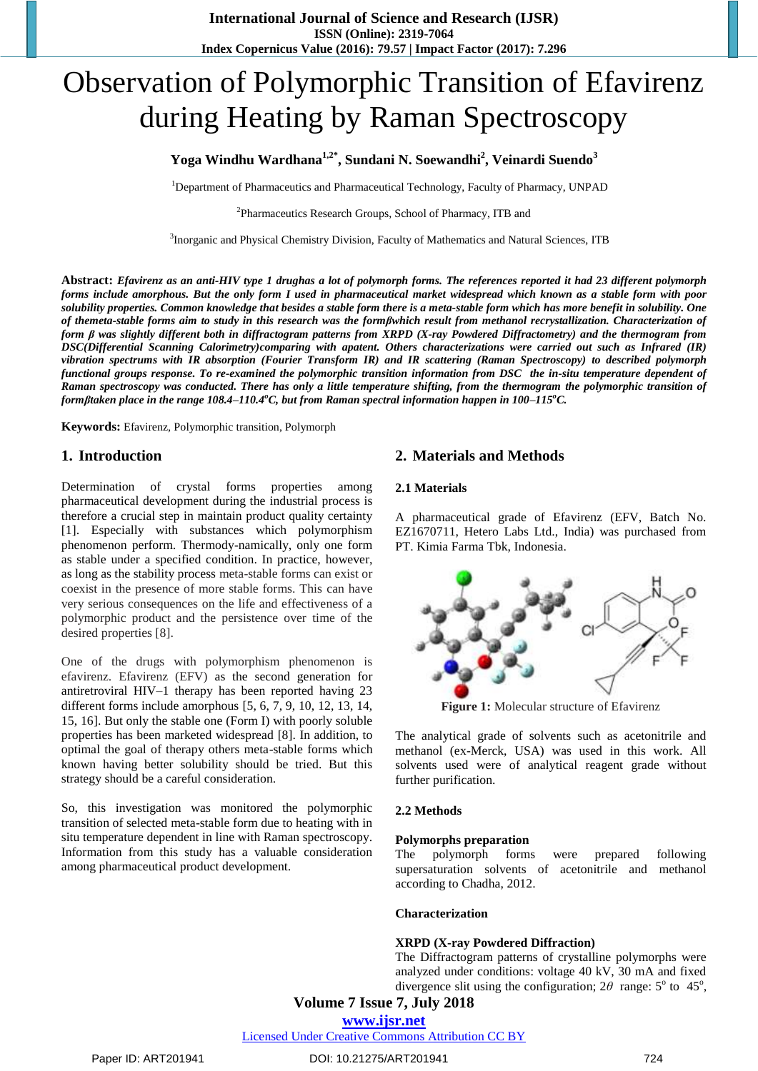# Observation of Polymorphic Transition of Efavirenz during Heating by Raman Spectroscopy

# **Yoga Windhu Wardhana1,2\* , Sundani N. Soewandhi<sup>2</sup> , Veinardi Suendo<sup>3</sup>**

<sup>1</sup>Department of Pharmaceutics and Pharmaceutical Technology, Faculty of Pharmacy, UNPAD

<sup>2</sup>Pharmaceutics Research Groups, School of Pharmacy, ITB and

<sup>3</sup>Inorganic and Physical Chemistry Division, Faculty of Mathematics and Natural Sciences, ITB

**Abstract:** *Efavirenz as an anti-HIV type 1 drughas a lot of polymorph forms. The references reported it had 23 different polymorph forms include amorphous. But the only form I used in pharmaceutical market widespread which known as a stable form with poor solubility properties. Common knowledge that besides a stable form there is a meta-stable form which has more benefit in solubility. One of themeta-stable forms aim to study in this research was the formβwhich result from methanol recrystallization. Characterization of form β was slightly different both in diffractogram patterns from XRPD (X-ray Powdered Diffractometry) and the thermogram from DSC(Differential Scanning Calorimetry)comparing with apatent. Others characterizations were carried out such as Infrared (IR) vibration spectrums with IR absorption (Fourier Transform IR) and IR scattering (Raman Spectroscopy) to described polymorph functional groups response. To re-examined the polymorphic transition information from DSC the in-situ temperature dependent of Raman spectroscopy was conducted. There has only a little temperature shifting, from the thermogram the polymorphic transition of formβtaken place in the range 108.4–110.4<sup>o</sup>C, but from Raman spectral information happen in 100–115<sup>o</sup>C.* 

**Keywords:** Efavirenz, Polymorphic transition, Polymorph

# **1. Introduction**

Determination of crystal forms properties among pharmaceutical development during the industrial process is therefore a crucial step in maintain product quality certainty [1]. Especially with substances which polymorphism phenomenon perform. Thermody-namically, only one form as stable under a specified condition. In practice, however, as long as the stability process meta-stable forms can exist or coexist in the presence of more stable forms. This can have very serious consequences on the life and effectiveness of a polymorphic product and the persistence over time of the desired properties [8].

One of the drugs with polymorphism phenomenon is efavirenz. Efavirenz (EFV) as the second generation for antiretroviral HIV–1 therapy has been reported having 23 different forms include amorphous [5, 6, 7, 9, 10, 12, 13, 14, 15, 16]. But only the stable one (Form I) with poorly soluble properties has been marketed widespread [8]. In addition, to optimal the goal of therapy others meta-stable forms which known having better solubility should be tried. But this strategy should be a careful consideration.

So, this investigation was monitored the polymorphic transition of selected meta-stable form due to heating with in situ temperature dependent in line with Raman spectroscopy. Information from this study has a valuable consideration among pharmaceutical product development.

# **2. Materials and Methods**

#### **2.1 Materials**

A pharmaceutical grade of Efavirenz (EFV, Batch No. EZ1670711, Hetero Labs Ltd., India) was purchased from PT. Kimia Farma Tbk, Indonesia.



**Figure 1:** Molecular structure of Efavirenz

The analytical grade of solvents such as acetonitrile and methanol (ex-Merck, USA) was used in this work. All solvents used were of analytical reagent grade without further purification.

## **2.2 Methods**

#### **Polymorphs preparation**

The polymorph forms were prepared following supersaturation solvents of acetonitrile and methanol according to Chadha, 2012.

#### **Characterization**

#### **XRPD (X-ray Powdered Diffraction)**

The Diffractogram patterns of crystalline polymorphs were analyzed under conditions: voltage 40 kV, 30 mA and fixed divergence slit using the configuration;  $2\theta$  range:  $5^{\circ}$  to  $45^{\circ}$ ,

**Volume 7 Issue 7, July 2018**

**<www.ijsr.net>**

[Licensed Under Creative Commons Attribution CC BY](http://creativecommons.org/licenses/by/4.0/)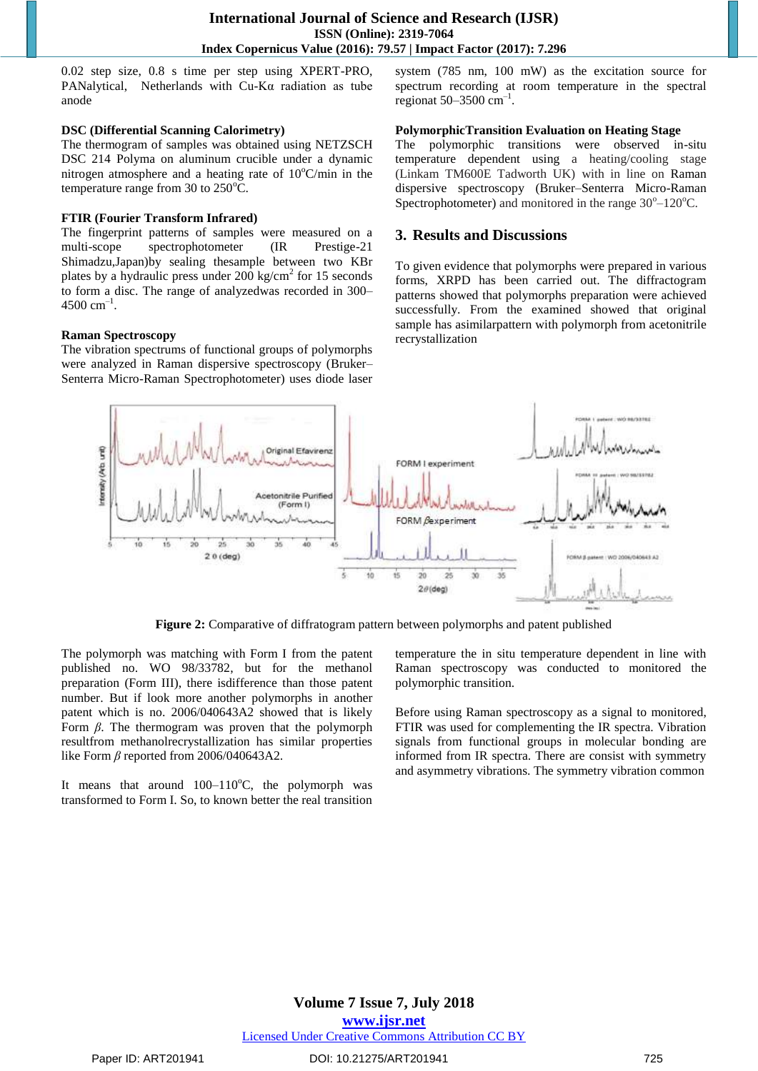0.02 step size, 0.8 s time per step using XPERT-PRO, PANalytical, Netherlands with Cu-Kα radiation as tube anode

#### **DSC (Differential Scanning Calorimetry)**

The thermogram of samples was obtained using NETZSCH DSC 214 Polyma on aluminum crucible under a dynamic nitrogen atmosphere and a heating rate of  $10^{\circ}$ C/min in the temperature range from 30 to  $250^{\circ}$ C.

## **FTIR (Fourier Transform Infrared)**

The fingerprint patterns of samples were measured on a multi-scope spectrophotometer (IR Prestige-21 Shimadzu,Japan)by sealing thesample between two KBr plates by a hydraulic press under  $200 \text{ kg/cm}^2$  for 15 seconds to form a disc. The range of analyzedwas recorded in 300–  $4500 \text{ cm}^{-1}$ .

## **Raman Spectroscopy**

The vibration spectrums of functional groups of polymorphs were analyzed in Raman dispersive spectroscopy (Bruker– Senterra Micro-Raman Spectrophotometer) uses diode laser system (785 nm, 100 mW) as the excitation source for spectrum recording at room temperature in the spectral regionat  $50-3500$  cm<sup>-1</sup>.

## **PolymorphicTransition Evaluation on Heating Stage**

The polymorphic transitions were observed in-situ temperature dependent using a heating/cooling stage (Linkam TM600E Tadworth UK) with in line on Raman dispersive spectroscopy (Bruker–Senterra Micro-Raman Spectrophotometer) and monitored in the range  $30^{\circ}-120^{\circ}$ C.

# **3. Results and Discussions**

To given evidence that polymorphs were prepared in various forms, XRPD has been carried out. The diffractogram patterns showed that polymorphs preparation were achieved successfully. From the examined showed that original sample has asimilarpattern with polymorph from acetonitrile recrystallization



**Figure 2:** Comparative of diffratogram pattern between polymorphs and patent published

The polymorph was matching with Form I from the patent published no. WO 98/33782, but for the methanol preparation (Form III), there isdifference than those patent number. But if look more another polymorphs in another patent which is no. 2006/040643A2 showed that is likely Form *β*. The thermogram was proven that the polymorph resultfrom methanolrecrystallization has similar properties like Form *β* reported from 2006/040643A2.

It means that around  $100-110^{\circ}$ C, the polymorph was transformed to Form I. So, to known better the real transition

temperature the in situ temperature dependent in line with Raman spectroscopy was conducted to monitored the polymorphic transition.

Before using Raman spectroscopy as a signal to monitored, FTIR was used for complementing the IR spectra. Vibration signals from functional groups in molecular bonding are informed from IR spectra. There are consist with symmetry and asymmetry vibrations. The symmetry vibration common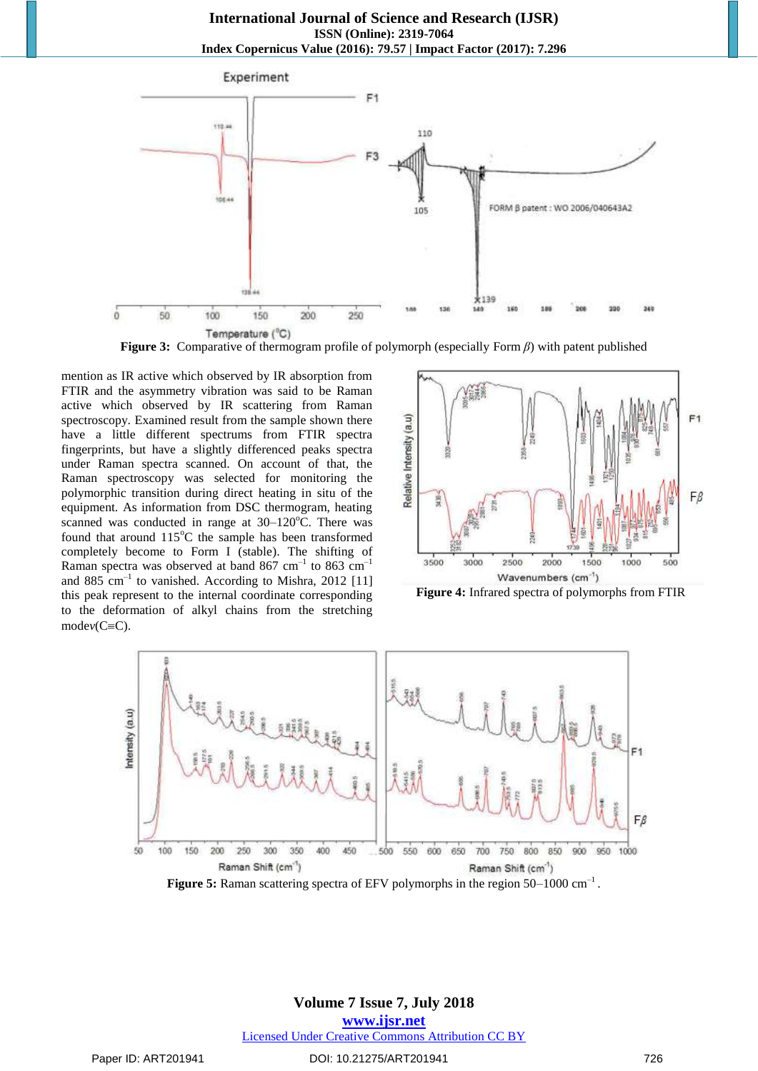

**Figure 3:** Comparative of thermogram profile of polymorph (especially Form *β*) with patent published

mention as IR active which observed by IR absorption from FTIR and the asymmetry vibration was said to be Raman active which observed by IR scattering from Raman spectroscopy. Examined result from the sample shown there have a little different spectrums from FTIR spectra fingerprints, but have a slightly differenced peaks spectra under Raman spectra scanned. On account of that, the Raman spectroscopy was selected for monitoring the polymorphic transition during direct heating in situ of the equipment. As information from DSC thermogram, heating scanned was conducted in range at  $30-120^{\circ}$ C. There was found that around  $115^{\circ}$ C the sample has been transformed completely become to Form I (stable). The shifting of Raman spectra was observed at band 867 cm<sup>-1</sup> to 863 cm<sup>-1</sup> and 885 cm<sup>-1</sup> to vanished. According to Mishra, 2012 [11] this peak represent to the internal coordinate corresponding to the deformation of alkyl chains from the stretching  $modev(C=C)$ .



**Figure 4:** Infrared spectra of polymorphs from FTIR



Figure 5: Raman scattering spectra of EFV polymorphs in the region 50–1000 cm<sup>-1</sup>.

## **Volume 7 Issue 7, July 2018 <www.ijsr.net>** [Licensed Under Creative Commons Attribution CC BY](http://creativecommons.org/licenses/by/4.0/)